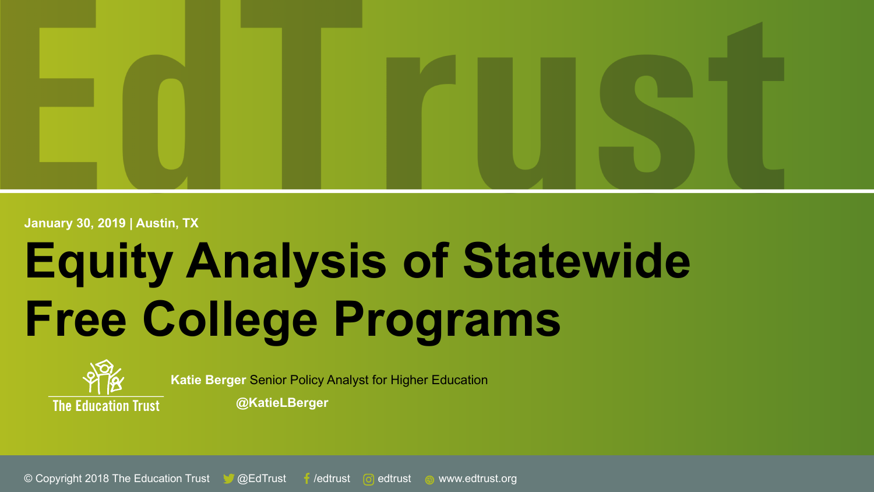

**January 30, 2019 | Austin, TX**

# **Equity Analysis of Statewide Free College Programs**



**Katie Berger** Senior Policy Analyst for Higher Education

**@KatieLBerger**

© Copyright 2018 The Education Trust & @EdTrust f /edtrust © edtrust @ www.edtrust.org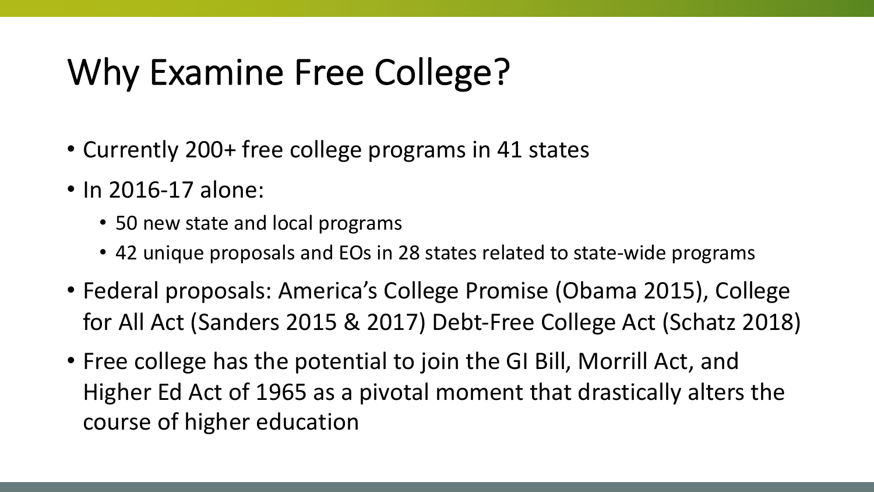### Why Examine Free College?

- Currently 200+ free college programs in 41 states
- In 2016-17 alone:
	- 50 new state and local programs
	- 42 unique proposals and EOs in 28 states related to state-wide programs
- Federal proposals: America's College Promise (Obama 2015), College for All Act (Sanders 2015 & 2017) Debt-Free College Act (Schatz 2018)
- Free college has the potential to join the GI Bill, Morrill Act, and Higher Ed Act of 1965 as a pivotal moment that drastically alters the course of higher education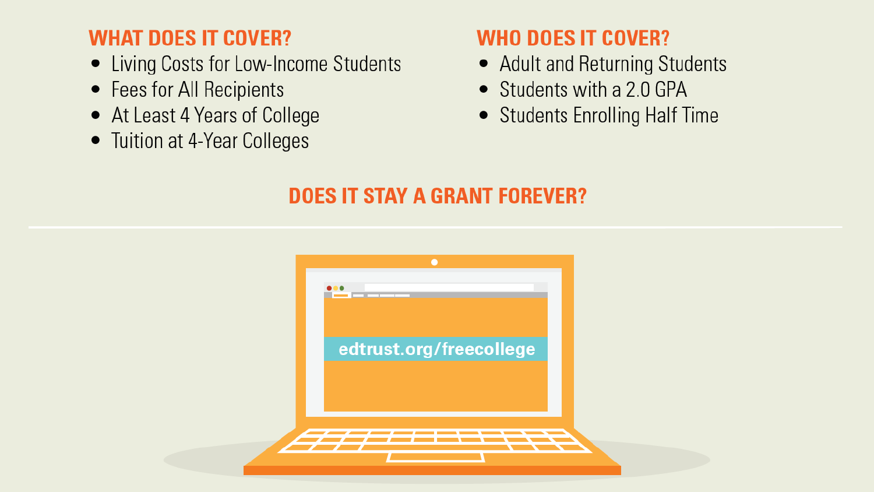#### **WHAT DOES IT COVER?**

- Living Costs for Low-Income Students
- Fees for All Recipients
- At Least 4 Years of College
- Tuition at 4-Year Colleges

#### **WHO DOES IT COVER?**

- Adult and Returning Students
- Students with a 2.0 GPA
- Students Enrolling Half Time

#### **DOES IT STAY A GRANT FOREVER?**

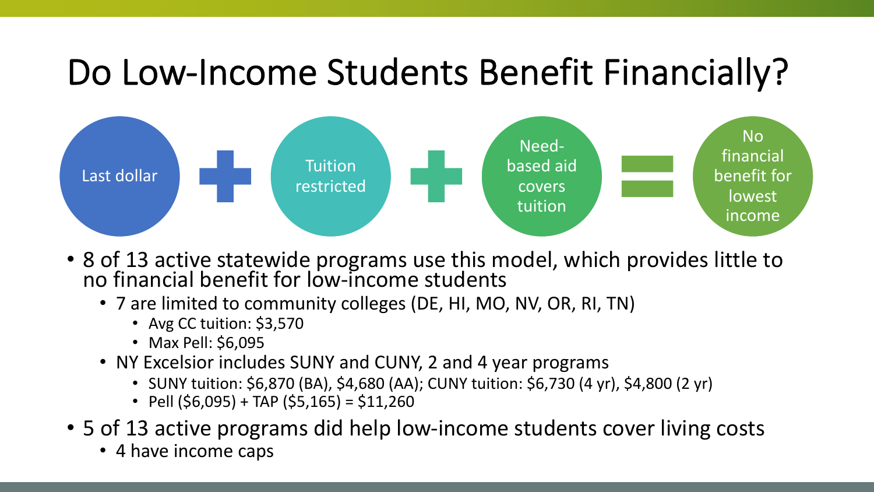### Do Low-Income Students Benefit Financially?



- 8 of 13 active statewide programs use this model, which provides little to no financial benefit for low-income students
	- 7 are limited to community colleges (DE, HI, MO, NV, OR, RI, TN)
		- Avg CC tuition: \$3,570
		- Max Pell: \$6,095
	- NY Excelsior includes SUNY and CUNY, 2 and 4 year programs
		- SUNY tuition: \$6,870 (BA), \$4,680 (AA); CUNY tuition: \$6,730 (4 yr), \$4,800 (2 yr)
		- Pell  $(56,095) + TAP (55,165) = $11,260$
- 5 of 13 active programs did help low-income students cover living costs
	- 4 have income caps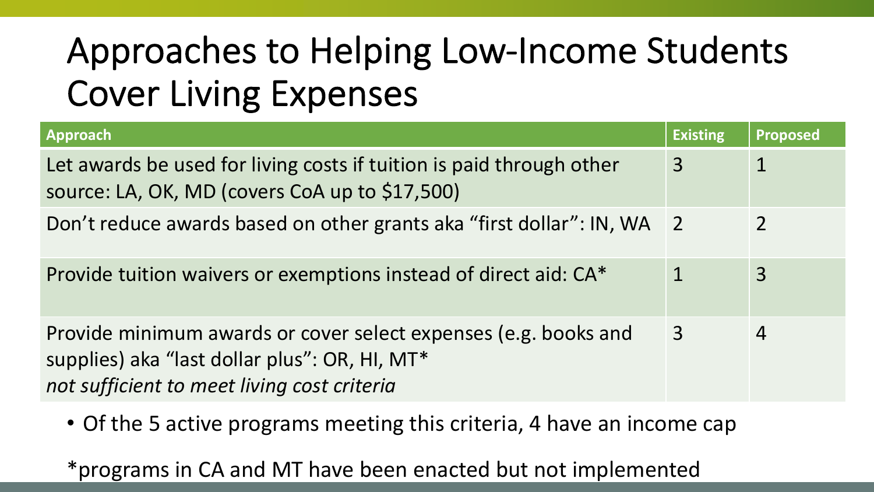# Approaches to Helping Low-Income Students Cover Living Expenses

| <b>Approach</b>                                                                                                                                                 | <b>Existing</b> | <b>Proposed</b> |
|-----------------------------------------------------------------------------------------------------------------------------------------------------------------|-----------------|-----------------|
| Let awards be used for living costs if tuition is paid through other<br>source: LA, OK, MD (covers CoA up to \$17,500)                                          | 3               |                 |
| Don't reduce awards based on other grants aka "first dollar": IN, WA 2                                                                                          |                 | 2               |
| Provide tuition waivers or exemptions instead of direct aid: CA*                                                                                                |                 | 3               |
| Provide minimum awards or cover select expenses (e.g. books and<br>supplies) aka "last dollar plus": OR, HI, MT*<br>not sufficient to meet living cost criteria | 3               | $\overline{4}$  |

• Of the 5 active programs meeting this criteria, 4 have an income cap

\*programs in CA and MT have been enacted but not implemented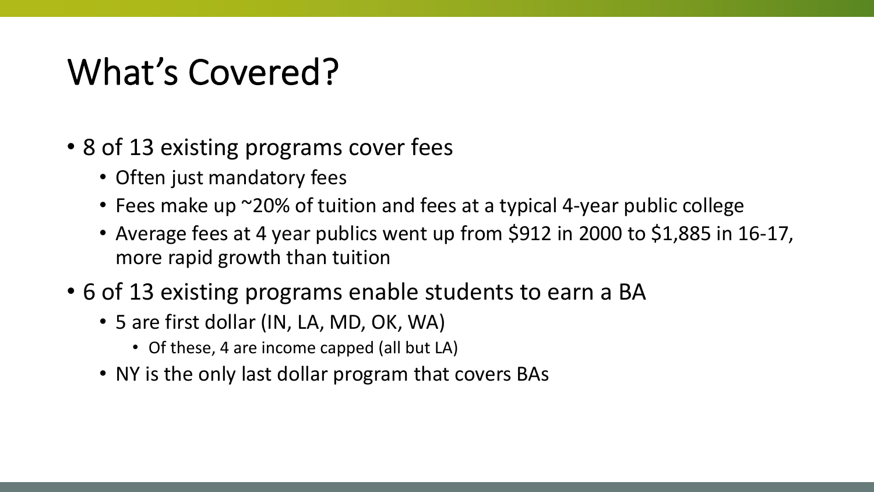### What's Covered?

- 8 of 13 existing programs cover fees
	- Often just mandatory fees
	- Fees make up ~20% of tuition and fees at a typical 4-year public college
	- Average fees at 4 year publics went up from \$912 in 2000 to \$1,885 in 16-17, more rapid growth than tuition
- 6 of 13 existing programs enable students to earn a BA
	- 5 are first dollar (IN, LA, MD, OK, WA)
		- Of these, 4 are income capped (all but LA)
	- NY is the only last dollar program that covers BAs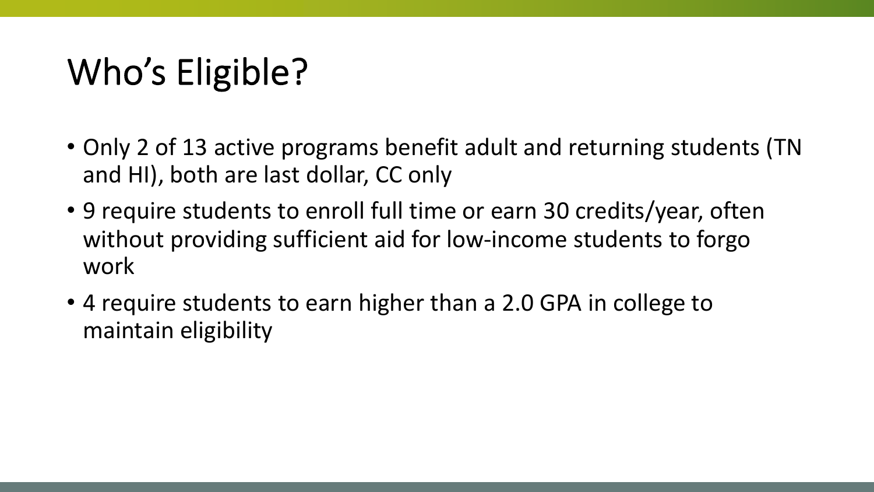# Who's Eligible?

- Only 2 of 13 active programs benefit adult and returning students (TN and HI), both are last dollar, CC only
- 9 require students to enroll full time or earn 30 credits/year, often without providing sufficient aid for low-income students to forgo work
- 4 require students to earn higher than a 2.0 GPA in college to maintain eligibility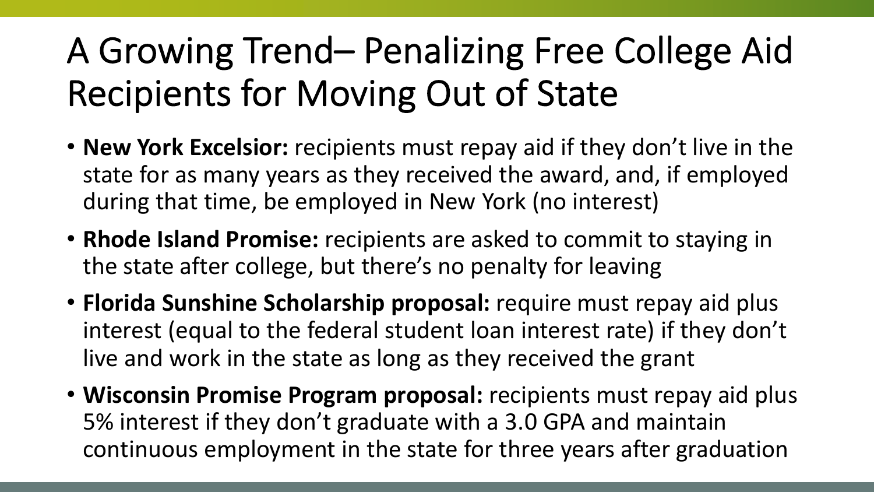# A Growing Trend– Penalizing Free College Aid Recipients for Moving Out of State

- **New York Excelsior:** recipients must repay aid if they don't live in the state for as many years as they received the award, and, if employed during that time, be employed in New York (no interest)
- **Rhode Island Promise:** recipients are asked to commit to staying in the state after college, but there's no penalty for leaving
- **Florida Sunshine Scholarship proposal:** require must repay aid plus interest (equal to the federal student loan interest rate) if they don't live and work in the state as long as they received the grant
- **Wisconsin Promise Program proposal:** recipients must repay aid plus 5% interest if they don't graduate with a 3.0 GPA and maintain continuous employment in the state for three years after graduation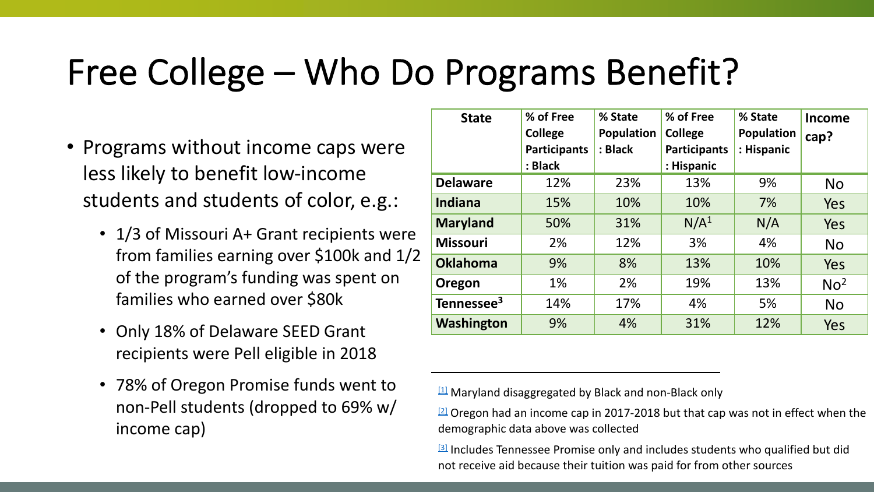#### Free College – Who Do Programs Benefit?

- Programs without income caps were less likely to benefit low-income students and students of color, e.g.:
	- 1/3 of Missouri A+ Grant recipients were from families earning over \$100k and 1/2 of the program's funding was spent on families who earned over \$80k
	- Only 18% of Delaware SEED Grant recipients were Pell eligible in 2018
	- 78% of Oregon Promise funds went to non-Pell students (dropped to 69% w/ income cap)

| <b>State</b>           | % of Free<br><b>College</b> | % State<br><b>Population</b> | % of Free<br><b>College</b> | % State<br><b>Population</b> | Income<br>cap?  |
|------------------------|-----------------------------|------------------------------|-----------------------------|------------------------------|-----------------|
|                        | <b>Participants</b>         | : Black                      | <b>Participants</b>         | : Hispanic                   |                 |
|                        | : Black                     |                              | : Hispanic                  |                              |                 |
| <b>Delaware</b>        | 12%                         | 23%                          | 13%                         | 9%                           | <b>No</b>       |
| <b>Indiana</b>         | 15%                         | 10%                          | 10%                         | 7%                           | Yes             |
| <b>Maryland</b>        | 50%                         | 31%                          | N/A <sup>1</sup>            | N/A                          | <b>Yes</b>      |
| <b>Missouri</b>        | 2%                          | 12%                          | 3%                          | 4%                           | <b>No</b>       |
| <b>Oklahoma</b>        | 9%                          | 8%                           | 13%                         | 10%                          | Yes             |
| Oregon                 | 1%                          | 2%                           | 19%                         | 13%                          | No <sup>2</sup> |
| Tennessee <sup>3</sup> | 14%                         | 17%                          | 4%                          | 5%                           | <b>No</b>       |
| <b>Washington</b>      | 9%                          | 4%                           | 31%                         | 12%                          | <b>Yes</b>      |

 $11$  Maryland disaggregated by Black and non-Black only

 $12$  Oregon had an income cap in 2017-2018 but that cap was not in effect when the demographic data above was collected

<sup>[3]</sup> Includes Tennessee Promise only and includes students who qualified but did not receive aid because their tuition was paid for from other sources